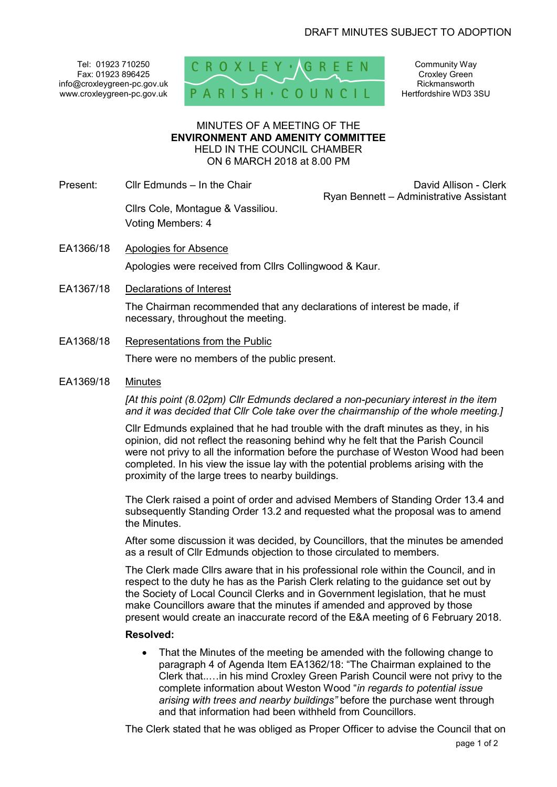Tel: 01923 710250 Fax: 01923 896425 info@croxleygreen-pc.gov.uk www.croxleygreen-pc.gov.uk



Community Way Croxley Green Rickmansworth Hertfordshire WD3 3SU

#### MINUTES OF A MEETING OF THE **ENVIRONMENT AND AMENITY COMMITTEE** HELD IN THE COUNCIL CHAMBER ON 6 MARCH 2018 at 8.00 PM

Present: Cllr Edmunds – In the Chair Chair Chair David Allison - Clerk

Ryan Bennett – Administrative Assistant

 Cllrs Cole, Montague & Vassiliou. Voting Members: 4

- EA1366/18 Apologies for Absence Apologies were received from Cllrs Collingwood & Kaur.
- EA1367/18 Declarations of Interest

The Chairman recommended that any declarations of interest be made, if necessary, throughout the meeting.

EA1368/18 Representations from the Public

There were no members of the public present.

# EA1369/18 Minutes

*[At this point (8.02pm) Cllr Edmunds declared a non-pecuniary interest in the item and it was decided that Cllr Cole take over the chairmanship of the whole meeting.]* 

Cllr Edmunds explained that he had trouble with the draft minutes as they, in his opinion, did not reflect the reasoning behind why he felt that the Parish Council were not privy to all the information before the purchase of Weston Wood had been completed. In his view the issue lay with the potential problems arising with the proximity of the large trees to nearby buildings.

The Clerk raised a point of order and advised Members of Standing Order 13.4 and subsequently Standing Order 13.2 and requested what the proposal was to amend the Minutes.

After some discussion it was decided, by Councillors, that the minutes be amended as a result of Cllr Edmunds objection to those circulated to members.

The Clerk made Cllrs aware that in his professional role within the Council, and in respect to the duty he has as the Parish Clerk relating to the guidance set out by the Society of Local Council Clerks and in Government legislation, that he must make Councillors aware that the minutes if amended and approved by those present would create an inaccurate record of the E&A meeting of 6 February 2018.

### **Resolved:**

 That the Minutes of the meeting be amended with the following change to paragraph 4 of Agenda Item EA1362/18: "The Chairman explained to the Clerk that..…in his mind Croxley Green Parish Council were not privy to the complete information about Weston Wood "*in regards to potential issue arising with trees and nearby buildings"* before the purchase went through and that information had been withheld from Councillors.

The Clerk stated that he was obliged as Proper Officer to advise the Council that on